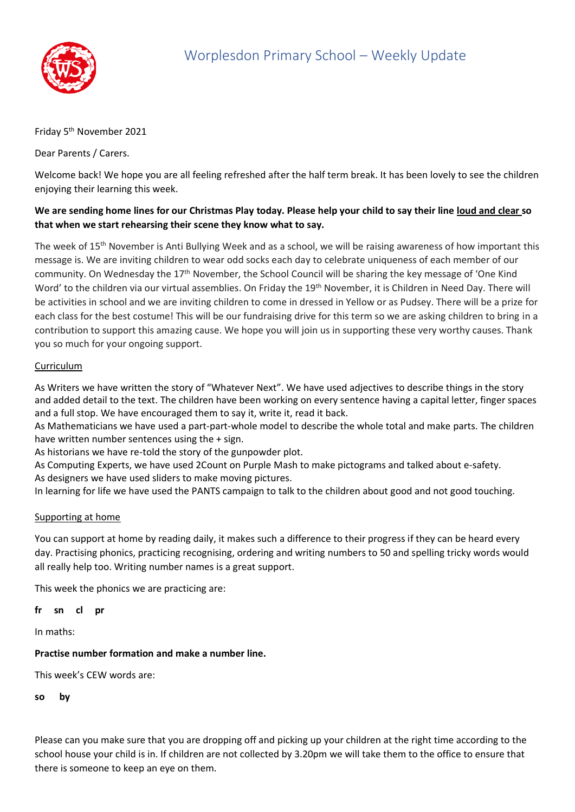

## Friday 5<sup>th</sup> November 2021

Dear Parents / Carers.

Welcome back! We hope you are all feeling refreshed after the half term break. It has been lovely to see the children enjoying their learning this week.

# **We are sending home lines for our Christmas Play today. Please help your child to say their line loud and clear so that when we start rehearsing their scene they know what to say.**

The week of 15th November is Anti Bullying Week and as a school, we will be raising awareness of how important this message is. We are inviting children to wear odd socks each day to celebrate uniqueness of each member of our community. On Wednesday the 17<sup>th</sup> November, the School Council will be sharing the key message of 'One Kind Word' to the children via our virtual assemblies. On Friday the 19<sup>th</sup> November, it is Children in Need Day. There will be activities in school and we are inviting children to come in dressed in Yellow or as Pudsey. There will be a prize for each class for the best costume! This will be our fundraising drive for this term so we are asking children to bring in a contribution to support this amazing cause. We hope you will join us in supporting these very worthy causes. Thank you so much for your ongoing support.

## Curriculum

As Writers we have written the story of "Whatever Next". We have used adjectives to describe things in the story and added detail to the text. The children have been working on every sentence having a capital letter, finger spaces and a full stop. We have encouraged them to say it, write it, read it back.

As Mathematicians we have used a part-part-whole model to describe the whole total and make parts. The children have written number sentences using the + sign.

As historians we have re-told the story of the gunpowder plot.

As Computing Experts, we have used 2Count on Purple Mash to make pictograms and talked about e-safety. As designers we have used sliders to make moving pictures.

In learning for life we have used the PANTS campaign to talk to the children about good and not good touching.

### Supporting at home

You can support at home by reading daily, it makes such a difference to their progress if they can be heard every day. Practising phonics, practicing recognising, ordering and writing numbers to 50 and spelling tricky words would all really help too. Writing number names is a great support.

This week the phonics we are practicing are:

**fr sn cl pr**

In maths:

### **Practise number formation and make a number line.**

This week's CEW words are:

**so by**

Please can you make sure that you are dropping off and picking up your children at the right time according to the school house your child is in. If children are not collected by 3.20pm we will take them to the office to ensure that there is someone to keep an eye on them.